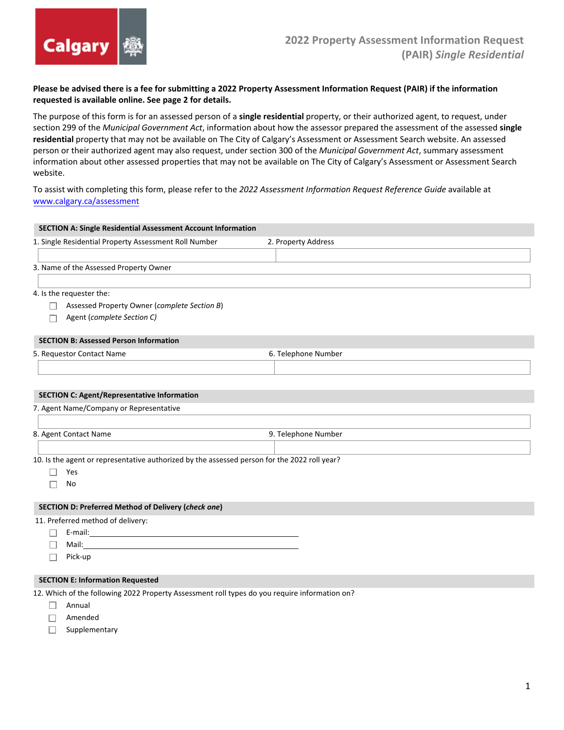

## **Please be advised there is a fee for submitting a 2022 Property Assessment Information Request (PAIR) if the information requested is available online. See page 2 for details.**

The purpose of this form is for an assessed person of a **single residential** property, or their authorized agent, to request, under section 299 of the *Municipal Government Act*, information about how the assessor prepared the assessment of the assessed **single residential** property that may not be available on The City of Calgary's Assessment or Assessment Search website. An assessed person or their authorized agent may also request, under section 300 of the *Municipal Government Act*, summary assessment information about other assessed properties that may not be available on The City of Calgary's Assessment or Assessment Search website.

To assist with completing this form, please refer to the *2022 Assessment Information Request Reference Guide* available at [www.calgary.ca/assessment](http://www.calgary.ca/assessment)

| <b>SECTION A: Single Residential Assessment Account Information</b>                           |                     |  |  |
|-----------------------------------------------------------------------------------------------|---------------------|--|--|
| 1. Single Residential Property Assessment Roll Number                                         | 2. Property Address |  |  |
|                                                                                               |                     |  |  |
| 3. Name of the Assessed Property Owner                                                        |                     |  |  |
|                                                                                               |                     |  |  |
| 4. Is the requester the:                                                                      |                     |  |  |
| Assessed Property Owner (complete Section B)                                                  |                     |  |  |
| Agent (complete Section C)                                                                    |                     |  |  |
| <b>SECTION B: Assessed Person Information</b>                                                 |                     |  |  |
| 5. Requestor Contact Name                                                                     | 6. Telephone Number |  |  |
|                                                                                               |                     |  |  |
|                                                                                               |                     |  |  |
| <b>SECTION C: Agent/Representative Information</b>                                            |                     |  |  |
| 7. Agent Name/Company or Representative                                                       |                     |  |  |
|                                                                                               |                     |  |  |
| 8. Agent Contact Name                                                                         | 9. Telephone Number |  |  |
|                                                                                               |                     |  |  |
| 10. Is the agent or representative authorized by the assessed person for the 2022 roll year?  |                     |  |  |
| Yes                                                                                           |                     |  |  |
| No                                                                                            |                     |  |  |
| <b>SECTION D: Preferred Method of Delivery (check one)</b>                                    |                     |  |  |
| 11. Preferred method of delivery:                                                             |                     |  |  |
|                                                                                               |                     |  |  |
| Mail:                                                                                         |                     |  |  |
| Pick-up                                                                                       |                     |  |  |
| <b>SECTION E: Information Requested</b>                                                       |                     |  |  |
| 12. Which of the following 2022 Property Assessment roll types do you require information on? |                     |  |  |

- $\Box$  Annual
- Amended
- Supplementary